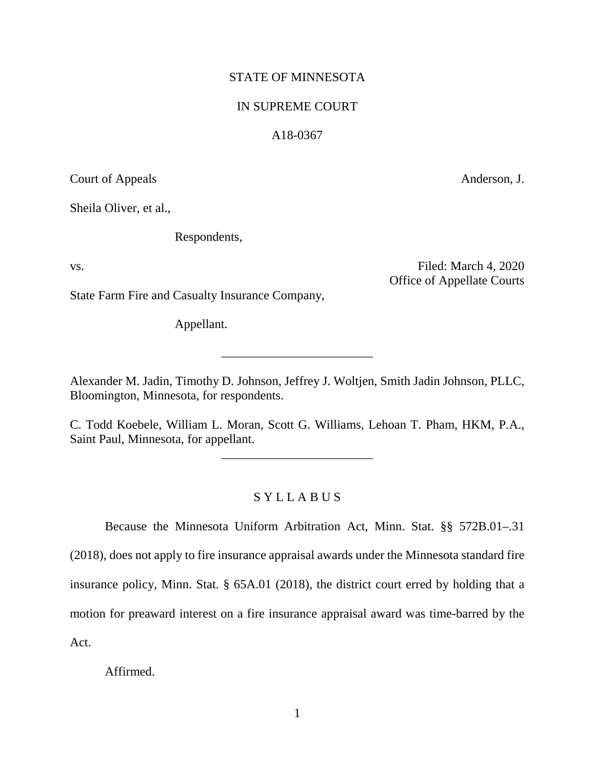## STATE OF MINNESOTA

## IN SUPREME COURT

## A18-0367

Court of Appeals Anderson, J.

Sheila Oliver, et al.,

Respondents,

vs. Tiled: March 4, 2020 Office of Appellate Courts

State Farm Fire and Casualty Insurance Company,

Appellant.

Alexander M. Jadin, Timothy D. Johnson, Jeffrey J. Woltjen, Smith Jadin Johnson, PLLC, Bloomington, Minnesota, for respondents.

\_\_\_\_\_\_\_\_\_\_\_\_\_\_\_\_\_\_\_\_\_\_\_\_

C. Todd Koebele, William L. Moran, Scott G. Williams, Lehoan T. Pham, HKM, P.A., Saint Paul, Minnesota, for appellant.

\_\_\_\_\_\_\_\_\_\_\_\_\_\_\_\_\_\_\_\_\_\_\_\_

## S Y L L A B U S

Because the Minnesota Uniform Arbitration Act, Minn. Stat. §§ 572B.01–.31 (2018), does not apply to fire insurance appraisal awards under the Minnesota standard fire insurance policy, Minn. Stat. § 65A.01 (2018), the district court erred by holding that a motion for preaward interest on a fire insurance appraisal award was time-barred by the Act.

Affirmed.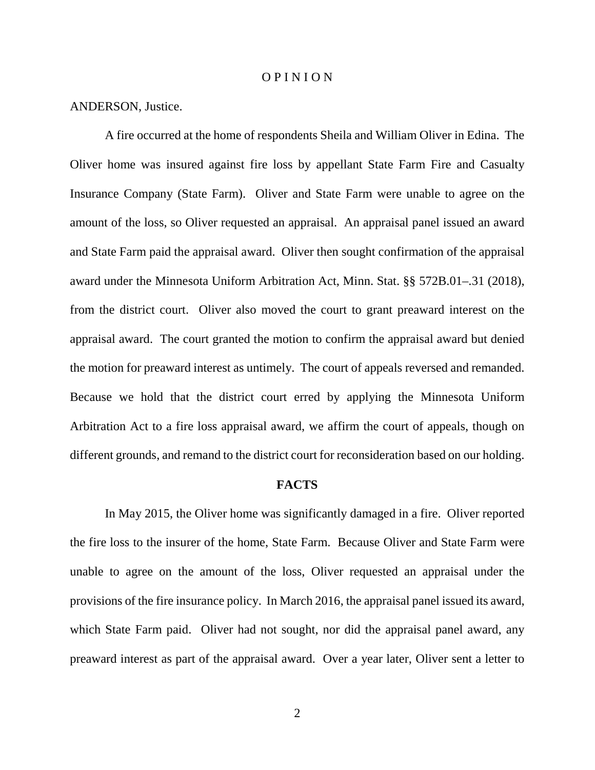#### O P I N I O N

#### ANDERSON, Justice.

A fire occurred at the home of respondents Sheila and William Oliver in Edina. The Oliver home was insured against fire loss by appellant State Farm Fire and Casualty Insurance Company (State Farm). Oliver and State Farm were unable to agree on the amount of the loss, so Oliver requested an appraisal. An appraisal panel issued an award and State Farm paid the appraisal award. Oliver then sought confirmation of the appraisal award under the Minnesota Uniform Arbitration Act, Minn. Stat. §§ 572B.01–.31 (2018), from the district court. Oliver also moved the court to grant preaward interest on the appraisal award. The court granted the motion to confirm the appraisal award but denied the motion for preaward interest as untimely. The court of appeals reversed and remanded. Because we hold that the district court erred by applying the Minnesota Uniform Arbitration Act to a fire loss appraisal award, we affirm the court of appeals, though on different grounds, and remand to the district court for reconsideration based on our holding.

#### **FACTS**

In May 2015, the Oliver home was significantly damaged in a fire. Oliver reported the fire loss to the insurer of the home, State Farm. Because Oliver and State Farm were unable to agree on the amount of the loss, Oliver requested an appraisal under the provisions of the fire insurance policy. In March 2016, the appraisal panel issued its award, which State Farm paid. Oliver had not sought, nor did the appraisal panel award, any preaward interest as part of the appraisal award. Over a year later, Oliver sent a letter to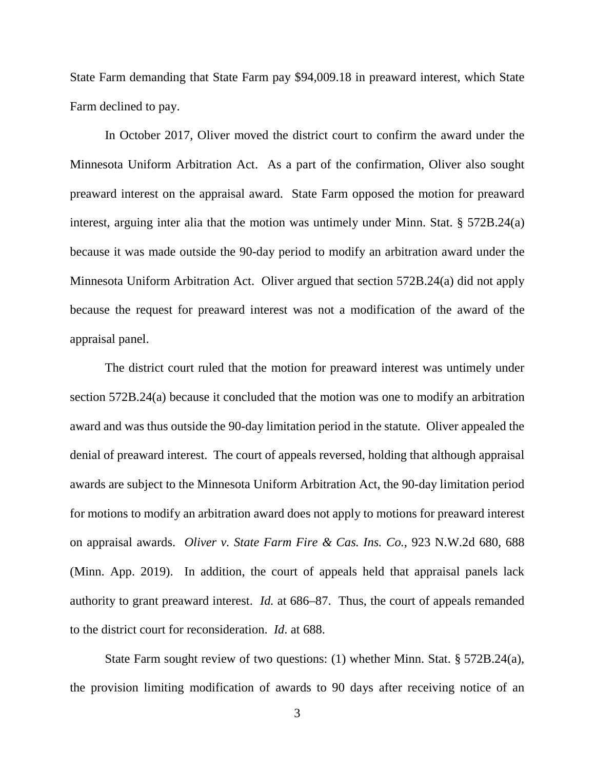State Farm demanding that State Farm pay \$94,009.18 in preaward interest, which State Farm declined to pay.

In October 2017, Oliver moved the district court to confirm the award under the Minnesota Uniform Arbitration Act. As a part of the confirmation, Oliver also sought preaward interest on the appraisal award. State Farm opposed the motion for preaward interest, arguing inter alia that the motion was untimely under Minn. Stat. § 572B.24(a) because it was made outside the 90-day period to modify an arbitration award under the Minnesota Uniform Arbitration Act. Oliver argued that section 572B.24(a) did not apply because the request for preaward interest was not a modification of the award of the appraisal panel.

The district court ruled that the motion for preaward interest was untimely under section 572B.24(a) because it concluded that the motion was one to modify an arbitration award and was thus outside the 90-day limitation period in the statute. Oliver appealed the denial of preaward interest. The court of appeals reversed, holding that although appraisal awards are subject to the Minnesota Uniform Arbitration Act, the 90-day limitation period for motions to modify an arbitration award does not apply to motions for preaward interest on appraisal awards. *Oliver v. State Farm Fire & Cas. Ins. Co.*, 923 N.W.2d 680, 688 (Minn. App. 2019). In addition, the court of appeals held that appraisal panels lack authority to grant preaward interest. *Id.* at 686–87. Thus, the court of appeals remanded to the district court for reconsideration. *Id*. at 688.

State Farm sought review of two questions: (1) whether Minn. Stat. § 572B.24(a), the provision limiting modification of awards to 90 days after receiving notice of an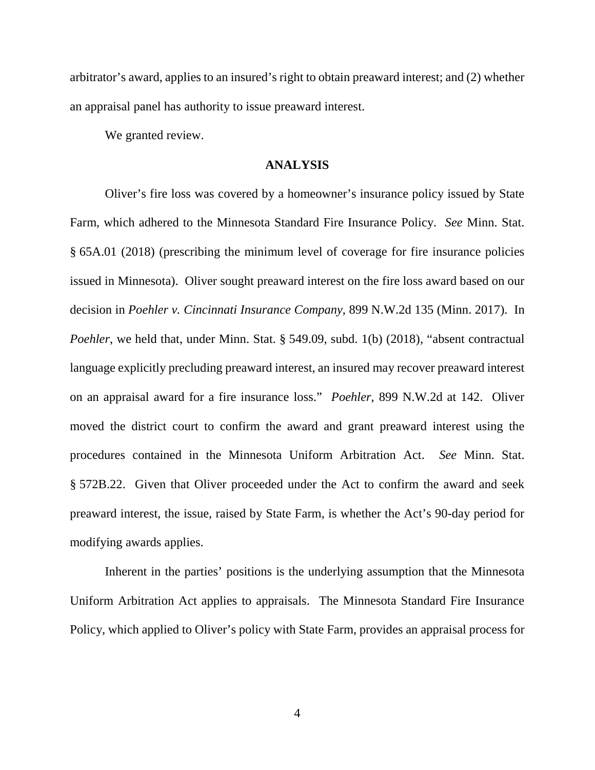arbitrator's award, applies to an insured's right to obtain preaward interest; and (2) whether an appraisal panel has authority to issue preaward interest.

We granted review.

## **ANALYSIS**

Oliver's fire loss was covered by a homeowner's insurance policy issued by State Farm, which adhered to the Minnesota Standard Fire Insurance Policy. *See* Minn. Stat. § 65A.01 (2018) (prescribing the minimum level of coverage for fire insurance policies issued in Minnesota). Oliver sought preaward interest on the fire loss award based on our decision in *Poehler v. Cincinnati Insurance Company*, 899 N.W.2d 135 (Minn. 2017). In *Poehler*, we held that, under Minn. Stat. § 549.09, subd. 1(b) (2018), "absent contractual language explicitly precluding preaward interest, an insured may recover preaward interest on an appraisal award for a fire insurance loss." *Poehler*, 899 N.W.2d at 142. Oliver moved the district court to confirm the award and grant preaward interest using the procedures contained in the Minnesota Uniform Arbitration Act. *See* Minn. Stat. § 572B.22. Given that Oliver proceeded under the Act to confirm the award and seek preaward interest, the issue, raised by State Farm, is whether the Act's 90-day period for modifying awards applies.

Inherent in the parties' positions is the underlying assumption that the Minnesota Uniform Arbitration Act applies to appraisals. The Minnesota Standard Fire Insurance Policy, which applied to Oliver's policy with State Farm, provides an appraisal process for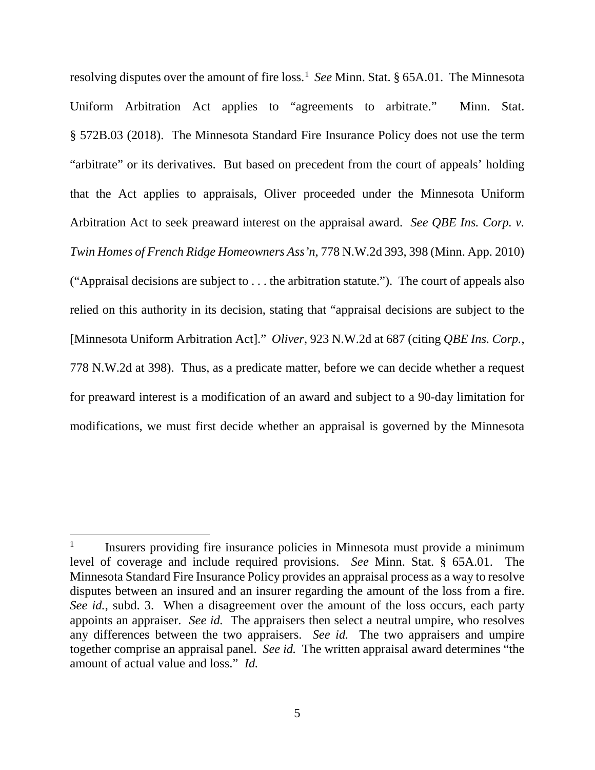resolving disputes over the amount of fire loss.<sup>[1](#page-4-0)</sup> See Minn. Stat. § 65A.01. The Minnesota Uniform Arbitration Act applies to "agreements to arbitrate." Minn. Stat. § 572B.03 (2018). The Minnesota Standard Fire Insurance Policy does not use the term "arbitrate" or its derivatives. But based on precedent from the court of appeals' holding that the Act applies to appraisals, Oliver proceeded under the Minnesota Uniform Arbitration Act to seek preaward interest on the appraisal award. *See QBE Ins. Corp. v. Twin Homes of French Ridge Homeowners Ass'n*, 778 N.W.2d 393, 398 (Minn. App. 2010) ("Appraisal decisions are subject to . . . the arbitration statute."). The court of appeals also relied on this authority in its decision, stating that "appraisal decisions are subject to the [Minnesota Uniform Arbitration Act]." *Oliver*, 923 N.W.2d at 687 (citing *QBE Ins. Corp.*, 778 N.W.2d at 398). Thus, as a predicate matter, before we can decide whether a request for preaward interest is a modification of an award and subject to a 90-day limitation for modifications, we must first decide whether an appraisal is governed by the Minnesota

<span id="page-4-0"></span> <sup>1</sup> Insurers providing fire insurance policies in Minnesota must provide a minimum level of coverage and include required provisions. *See* Minn. Stat. § 65A.01. The Minnesota Standard Fire Insurance Policy provides an appraisal process as a way to resolve disputes between an insured and an insurer regarding the amount of the loss from a fire. *See id.*, subd. 3. When a disagreement over the amount of the loss occurs, each party appoints an appraiser. *See id.* The appraisers then select a neutral umpire, who resolves any differences between the two appraisers. *See id.* The two appraisers and umpire together comprise an appraisal panel. *See id.* The written appraisal award determines "the amount of actual value and loss." *Id.*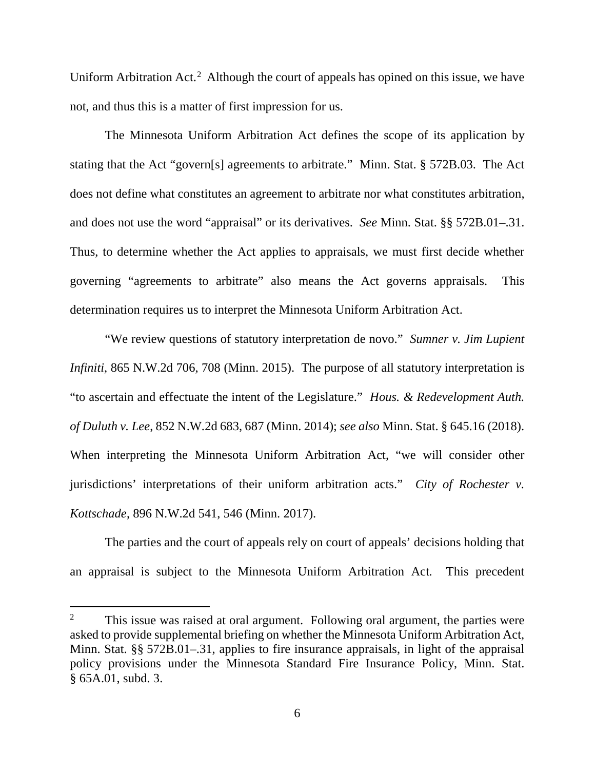Uniform Arbitration Act.<sup>[2](#page-5-0)</sup> Although the court of appeals has opined on this issue, we have not, and thus this is a matter of first impression for us.

The Minnesota Uniform Arbitration Act defines the scope of its application by stating that the Act "govern[s] agreements to arbitrate." Minn. Stat. § 572B.03. The Act does not define what constitutes an agreement to arbitrate nor what constitutes arbitration, and does not use the word "appraisal" or its derivatives. *See* Minn. Stat. §§ 572B.01–.31. Thus, to determine whether the Act applies to appraisals, we must first decide whether governing "agreements to arbitrate" also means the Act governs appraisals. This determination requires us to interpret the Minnesota Uniform Arbitration Act.

"We review questions of statutory interpretation de novo." *Sumner v. Jim Lupient Infiniti*, 865 N.W.2d 706, 708 (Minn. 2015). The purpose of all statutory interpretation is "to ascertain and effectuate the intent of the Legislature." *Hous. & Redevelopment Auth. of Duluth v. Lee*, 852 N.W.2d 683, 687 (Minn. 2014); *see also* Minn. Stat. § 645.16 (2018). When interpreting the Minnesota Uniform Arbitration Act, "we will consider other jurisdictions' interpretations of their uniform arbitration acts." *City of Rochester v. Kottschade*, 896 N.W.2d 541, 546 (Minn. 2017).

The parties and the court of appeals rely on court of appeals' decisions holding that an appraisal is subject to the Minnesota Uniform Arbitration Act*.* This precedent

<span id="page-5-0"></span><sup>&</sup>lt;sup>2</sup> This issue was raised at oral argument. Following oral argument, the parties were asked to provide supplemental briefing on whether the Minnesota Uniform Arbitration Act, Minn. Stat. §§ 572B.01–.31, applies to fire insurance appraisals, in light of the appraisal policy provisions under the Minnesota Standard Fire Insurance Policy, Minn. Stat. § 65A.01, subd. 3.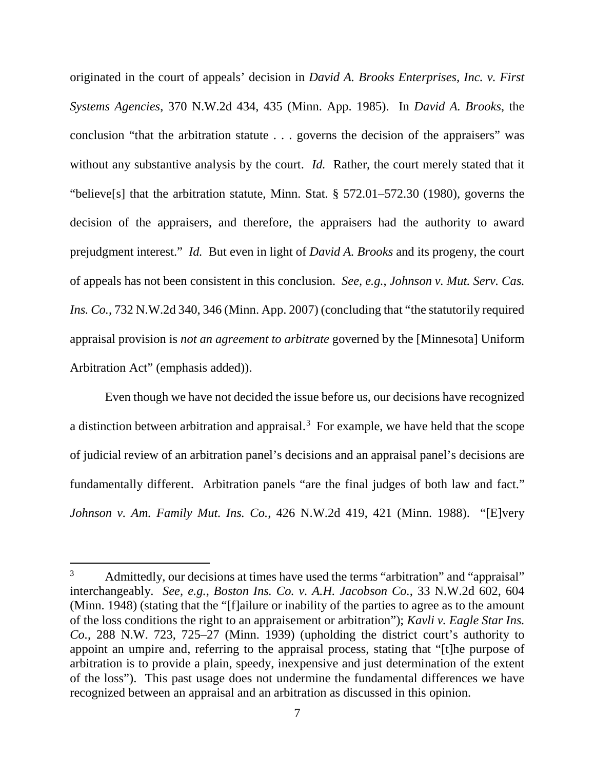originated in the court of appeals' decision in *David A. Brooks Enterprises, Inc. v. First Systems Agencies*, 370 N.W.2d 434, 435 (Minn. App. 1985). In *David A. Brooks*, the conclusion "that the arbitration statute . . . governs the decision of the appraisers" was without any substantive analysis by the court. *Id.* Rather, the court merely stated that it "believe[s] that the arbitration statute, Minn. Stat. § 572.01–572.30 (1980), governs the decision of the appraisers, and therefore, the appraisers had the authority to award prejudgment interest." *Id.* But even in light of *David A. Brooks* and its progeny, the court of appeals has not been consistent in this conclusion. *See, e.g.*, *Johnson v. Mut. Serv. Cas. Ins. Co.*, 732 N.W.2d 340, 346 (Minn. App. 2007) (concluding that "the statutorily required appraisal provision is *not an agreement to arbitrate* governed by the [Minnesota] Uniform Arbitration Act" (emphasis added)).

Even though we have not decided the issue before us, our decisions have recognized a distinction between arbitration and appraisal.[3](#page-6-0) For example, we have held that the scope of judicial review of an arbitration panel's decisions and an appraisal panel's decisions are fundamentally different. Arbitration panels "are the final judges of both law and fact." *Johnson v. Am. Family Mut. Ins. Co.*, 426 N.W.2d 419, 421 (Minn. 1988). "[E]very

<span id="page-6-0"></span><sup>&</sup>lt;sup>3</sup> Admittedly, our decisions at times have used the terms "arbitration" and "appraisal" interchangeably. *See, e.g.*, *Boston Ins. Co. v. A.H. Jacobson Co.*, 33 N.W.2d 602, 604 (Minn. 1948) (stating that the "[f]ailure or inability of the parties to agree as to the amount of the loss conditions the right to an appraisement or arbitration"); *Kavli v. Eagle Star Ins. Co.*, 288 N.W. 723, 725–27 (Minn. 1939) (upholding the district court's authority to appoint an umpire and, referring to the appraisal process, stating that "[t]he purpose of arbitration is to provide a plain, speedy, inexpensive and just determination of the extent of the loss"). This past usage does not undermine the fundamental differences we have recognized between an appraisal and an arbitration as discussed in this opinion.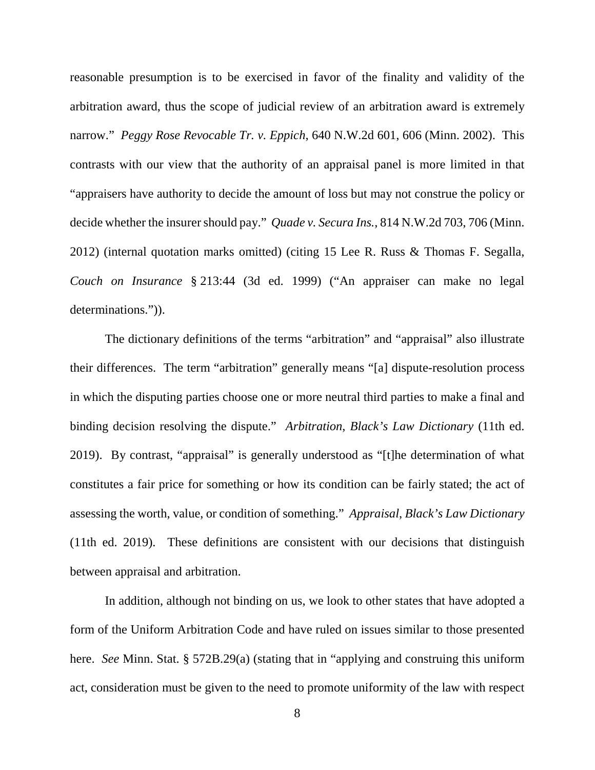reasonable presumption is to be exercised in favor of the finality and validity of the arbitration award, thus the scope of judicial review of an arbitration award is extremely narrow." *Peggy Rose Revocable Tr. v. Eppich*, 640 N.W.2d 601, 606 (Minn. 2002). This contrasts with our view that the authority of an appraisal panel is more limited in that "appraisers have authority to decide the amount of loss but may not construe the policy or decide whether the insurer should pay." *Quade v. Secura Ins.*, 814 N.W.2d 703, 706 (Minn. 2012) (internal quotation marks omitted) (citing 15 Lee R. Russ & Thomas F. Segalla, *Couch on Insurance* § 213:44 (3d ed. 1999) ("An appraiser can make no legal determinations.")).

The dictionary definitions of the terms "arbitration" and "appraisal" also illustrate their differences. The term "arbitration" generally means "[a] dispute-resolution process in which the disputing parties choose one or more neutral third parties to make a final and binding decision resolving the dispute." *Arbitration*, *Black's Law Dictionary* (11th ed. 2019). By contrast, "appraisal" is generally understood as "[t]he determination of what constitutes a fair price for something or how its condition can be fairly stated; the act of assessing the worth, value, or condition of something." *Appraisal*, *Black's Law Dictionary* (11th ed. 2019). These definitions are consistent with our decisions that distinguish between appraisal and arbitration.

In addition, although not binding on us, we look to other states that have adopted a form of the Uniform Arbitration Code and have ruled on issues similar to those presented here. *See* Minn. Stat. § 572B.29(a) (stating that in "applying and construing this uniform act, consideration must be given to the need to promote uniformity of the law with respect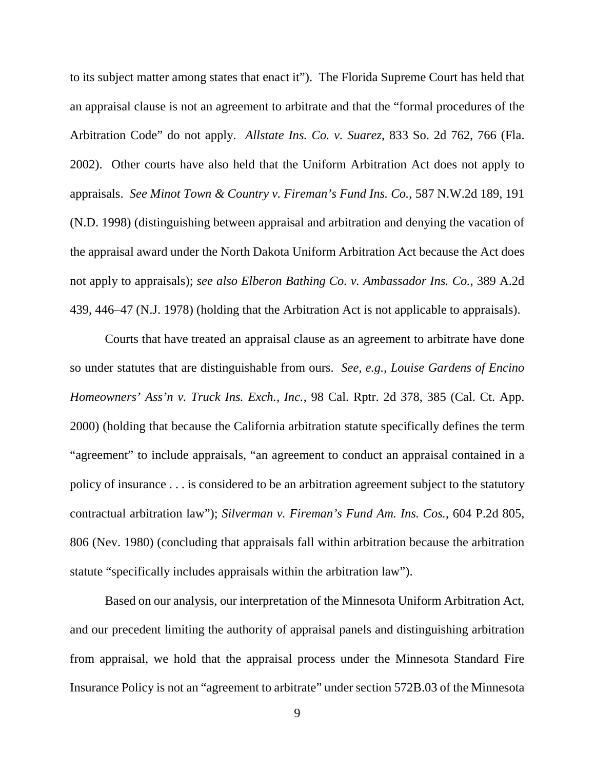to its subject matter among states that enact it"). The Florida Supreme Court has held that an appraisal clause is not an agreement to arbitrate and that the "formal procedures of the Arbitration Code" do not apply. *Allstate Ins. Co. v. Suarez*, 833 So. 2d 762, 766 (Fla. 2002). Other courts have also held that the Uniform Arbitration Act does not apply to appraisals. *See Minot Town & Country v. Fireman's Fund Ins. Co.*, 587 N.W.2d 189, 191 (N.D. 1998) (distinguishing between appraisal and arbitration and denying the vacation of the appraisal award under the North Dakota Uniform Arbitration Act because the Act does not apply to appraisals); *see also Elberon Bathing Co. v. Ambassador Ins. Co.*, 389 A.2d 439, 446–47 (N.J. 1978) (holding that the Arbitration Act is not applicable to appraisals).

Courts that have treated an appraisal clause as an agreement to arbitrate have done so under statutes that are distinguishable from ours. *See, e.g.*, *Louise Gardens of Encino Homeowners' Ass'n v. Truck Ins. Exch., Inc.*, 98 Cal. Rptr. 2d 378, 385 (Cal. Ct. App. 2000) (holding that because the California arbitration statute specifically defines the term "agreement" to include appraisals, "an agreement to conduct an appraisal contained in a policy of insurance . . . is considered to be an arbitration agreement subject to the statutory contractual arbitration law"); *Silverman v. Fireman's Fund Am. Ins. Cos.*, 604 P.2d 805, 806 (Nev. 1980) (concluding that appraisals fall within arbitration because the arbitration statute "specifically includes appraisals within the arbitration law").

Based on our analysis, our interpretation of the Minnesota Uniform Arbitration Act, and our precedent limiting the authority of appraisal panels and distinguishing arbitration from appraisal, we hold that the appraisal process under the Minnesota Standard Fire Insurance Policy is not an "agreement to arbitrate" under section 572B.03 of the Minnesota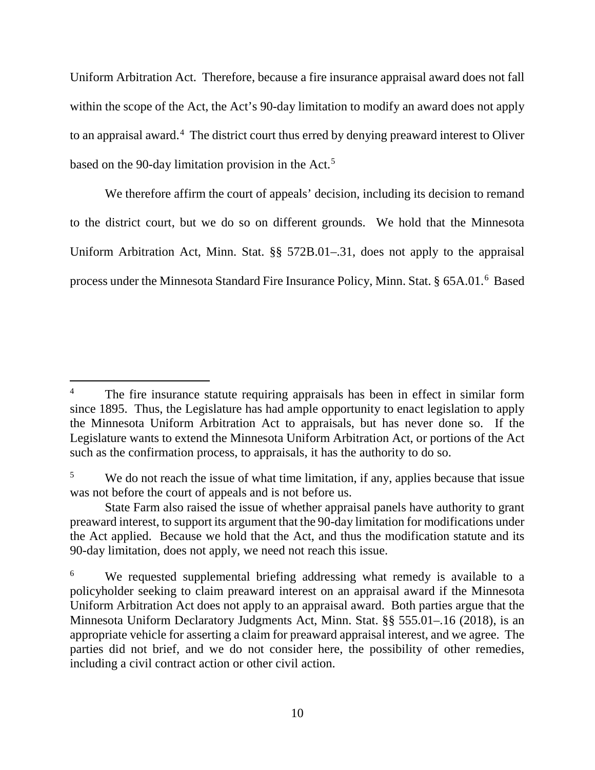Uniform Arbitration Act. Therefore, because a fire insurance appraisal award does not fall within the scope of the Act, the Act's 90-day limitation to modify an award does not apply to an appraisal award.<sup>[4](#page-9-0)</sup> The district court thus erred by denying preaward interest to Oliver based on the 90-day limitation provision in the Act.<sup>[5](#page-9-1)</sup>

We therefore affirm the court of appeals' decision, including its decision to remand to the district court, but we do so on different grounds. We hold that the Minnesota Uniform Arbitration Act, Minn. Stat. §§ 572B.01–.31, does not apply to the appraisal process under the Minnesota Standard Fire Insurance Policy, Minn. Stat. § [6](#page-9-2)5A.01.<sup>6</sup> Based

<span id="page-9-0"></span><sup>&</sup>lt;sup>4</sup> The fire insurance statute requiring appraisals has been in effect in similar form since 1895. Thus, the Legislature has had ample opportunity to enact legislation to apply the Minnesota Uniform Arbitration Act to appraisals, but has never done so. If the Legislature wants to extend the Minnesota Uniform Arbitration Act, or portions of the Act such as the confirmation process, to appraisals, it has the authority to do so.

<span id="page-9-1"></span><sup>&</sup>lt;sup>5</sup> We do not reach the issue of what time limitation, if any, applies because that issue was not before the court of appeals and is not before us.

State Farm also raised the issue of whether appraisal panels have authority to grant preaward interest, to support its argument that the 90-day limitation for modifications under the Act applied. Because we hold that the Act, and thus the modification statute and its 90-day limitation, does not apply, we need not reach this issue.

<span id="page-9-2"></span><sup>&</sup>lt;sup>6</sup> We requested supplemental briefing addressing what remedy is available to a policyholder seeking to claim preaward interest on an appraisal award if the Minnesota Uniform Arbitration Act does not apply to an appraisal award. Both parties argue that the Minnesota Uniform Declaratory Judgments Act, Minn. Stat. §§ 555.01–.16 (2018), is an appropriate vehicle for asserting a claim for preaward appraisal interest, and we agree. The parties did not brief, and we do not consider here, the possibility of other remedies, including a civil contract action or other civil action.